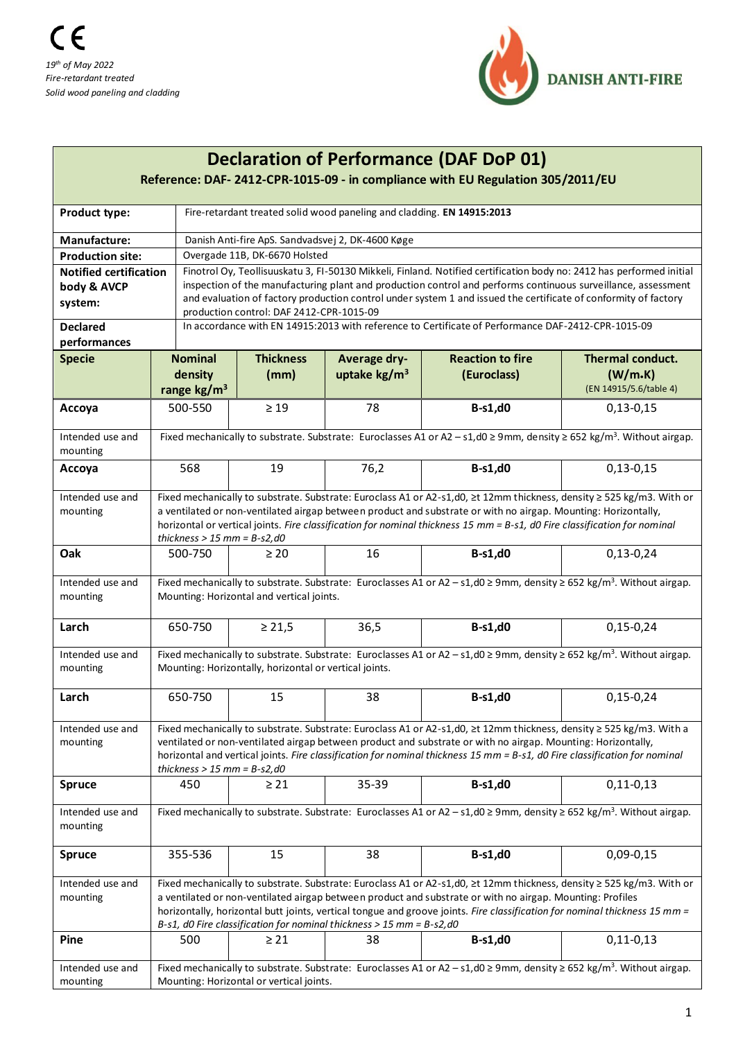

| <b>Declaration of Performance (DAF DoP 01)</b><br>Reference: DAF- 2412-CPR-1015-09 - in compliance with EU Regulation 305/2011/EU |                                                                                                                                                                                                                                                                                                                                                                                                       |                                                                                                                                                                                          |                                                                        |                        |                         |                        |  |  |  |  |
|-----------------------------------------------------------------------------------------------------------------------------------|-------------------------------------------------------------------------------------------------------------------------------------------------------------------------------------------------------------------------------------------------------------------------------------------------------------------------------------------------------------------------------------------------------|------------------------------------------------------------------------------------------------------------------------------------------------------------------------------------------|------------------------------------------------------------------------|------------------------|-------------------------|------------------------|--|--|--|--|
| <b>Product type:</b>                                                                                                              |                                                                                                                                                                                                                                                                                                                                                                                                       |                                                                                                                                                                                          | Fire-retardant treated solid wood paneling and cladding. EN 14915:2013 |                        |                         |                        |  |  |  |  |
| Manufacture:                                                                                                                      |                                                                                                                                                                                                                                                                                                                                                                                                       | Danish Anti-fire ApS. Sandvadsvej 2, DK-4600 Køge                                                                                                                                        |                                                                        |                        |                         |                        |  |  |  |  |
| <b>Production site:</b>                                                                                                           |                                                                                                                                                                                                                                                                                                                                                                                                       | Overgade 11B, DK-6670 Holsted                                                                                                                                                            |                                                                        |                        |                         |                        |  |  |  |  |
| <b>Notified certification</b>                                                                                                     |                                                                                                                                                                                                                                                                                                                                                                                                       | Finotrol Oy, Teollisuuskatu 3, FI-50130 Mikkeli, Finland. Notified certification body no: 2412 has performed initial                                                                     |                                                                        |                        |                         |                        |  |  |  |  |
| body & AVCP                                                                                                                       |                                                                                                                                                                                                                                                                                                                                                                                                       | inspection of the manufacturing plant and production control and performs continuous surveillance, assessment                                                                            |                                                                        |                        |                         |                        |  |  |  |  |
| system:                                                                                                                           |                                                                                                                                                                                                                                                                                                                                                                                                       | and evaluation of factory production control under system 1 and issued the certificate of conformity of factory<br>production control: DAF 2412-CPR-1015-09                              |                                                                        |                        |                         |                        |  |  |  |  |
| <b>Declared</b>                                                                                                                   |                                                                                                                                                                                                                                                                                                                                                                                                       | In accordance with EN 14915:2013 with reference to Certificate of Performance DAF-2412-CPR-1015-09                                                                                       |                                                                        |                        |                         |                        |  |  |  |  |
| performances                                                                                                                      |                                                                                                                                                                                                                                                                                                                                                                                                       |                                                                                                                                                                                          |                                                                        |                        |                         |                        |  |  |  |  |
| <b>Specie</b>                                                                                                                     |                                                                                                                                                                                                                                                                                                                                                                                                       | <b>Nominal</b>                                                                                                                                                                           | <b>Thickness</b>                                                       | Average dry-           | <b>Reaction to fire</b> | Thermal conduct.       |  |  |  |  |
|                                                                                                                                   |                                                                                                                                                                                                                                                                                                                                                                                                       | density                                                                                                                                                                                  | (mm)                                                                   | uptake $\text{kg/m}^3$ | (Euroclass)             | (W/m.K)                |  |  |  |  |
|                                                                                                                                   |                                                                                                                                                                                                                                                                                                                                                                                                       | range kg/m <sup>3</sup>                                                                                                                                                                  |                                                                        |                        |                         | (EN 14915/5.6/table 4) |  |  |  |  |
| Accoya                                                                                                                            |                                                                                                                                                                                                                                                                                                                                                                                                       | 500-550                                                                                                                                                                                  | $\geq 19$                                                              | 78                     | <b>B-s1,d0</b>          | $0,13-0,15$            |  |  |  |  |
| Intended use and                                                                                                                  | Fixed mechanically to substrate. Substrate: Euroclasses A1 or A2 – s1,d0 ≥ 9mm, density ≥ 652 kg/m <sup>3</sup> . Without airgap.                                                                                                                                                                                                                                                                     |                                                                                                                                                                                          |                                                                        |                        |                         |                        |  |  |  |  |
| mounting                                                                                                                          |                                                                                                                                                                                                                                                                                                                                                                                                       |                                                                                                                                                                                          |                                                                        |                        |                         |                        |  |  |  |  |
| Accoya                                                                                                                            |                                                                                                                                                                                                                                                                                                                                                                                                       | 568                                                                                                                                                                                      | 19                                                                     | 76,2                   | <b>B-s1,d0</b>          | $0,13-0,15$            |  |  |  |  |
| Intended use and<br>mounting                                                                                                      | Fixed mechanically to substrate. Substrate: Euroclass A1 or A2-s1,d0, ≥t 12mm thickness, density ≥ 525 kg/m3. With or<br>a ventilated or non-ventilated airgap between product and substrate or with no airgap. Mounting: Horizontally,<br>horizontal or vertical joints. Fire classification for nominal thickness 15 mm = B-s1, d0 Fire classification for nominal<br>thickness $> 15$ mm = B-s2,d0 |                                                                                                                                                                                          |                                                                        |                        |                         |                        |  |  |  |  |
| Oak                                                                                                                               | 500-750                                                                                                                                                                                                                                                                                                                                                                                               |                                                                                                                                                                                          | $\geq 20$                                                              | 16                     | <b>B-s1,d0</b>          | $0,13-0,24$            |  |  |  |  |
| Intended use and<br>mounting                                                                                                      |                                                                                                                                                                                                                                                                                                                                                                                                       | Fixed mechanically to substrate. Substrate: Euroclasses A1 or A2 - s1,d0 $\geq$ 9mm, density $\geq$ 652 kg/m <sup>3</sup> . Without airgap.<br>Mounting: Horizontal and vertical joints. |                                                                        |                        |                         |                        |  |  |  |  |
| Larch                                                                                                                             |                                                                                                                                                                                                                                                                                                                                                                                                       | 650-750                                                                                                                                                                                  | $\geq 21,5$                                                            | 36,5                   | <b>B-s1,d0</b>          | $0,15-0,24$            |  |  |  |  |
| Intended use and<br>mounting                                                                                                      | Fixed mechanically to substrate. Substrate: Euroclasses A1 or A2 – s1,d0 ≥ 9mm, density ≥ 652 kg/m <sup>3</sup> . Without airgap.<br>Mounting: Horizontally, horizontal or vertical joints.                                                                                                                                                                                                           |                                                                                                                                                                                          |                                                                        |                        |                         |                        |  |  |  |  |
| Larch                                                                                                                             |                                                                                                                                                                                                                                                                                                                                                                                                       | 650-750                                                                                                                                                                                  | 15                                                                     | 38                     | $B-s1,d0$               | $0,15-0,24$            |  |  |  |  |
| Intended use and<br>mounting                                                                                                      | Fixed mechanically to substrate. Substrate: Euroclass A1 or A2-s1,d0, ≥t 12mm thickness, density ≥ 525 kg/m3. With a<br>ventilated or non-ventilated airgap between product and substrate or with no airgap. Mounting: Horizontally,<br>horizontal and vertical joints. Fire classification for nominal thickness 15 mm = B-s1, d0 Fire classification for nominal<br>thickness $> 15$ mm = B-s2,d0   |                                                                                                                                                                                          |                                                                        |                        |                         |                        |  |  |  |  |
| <b>Spruce</b>                                                                                                                     |                                                                                                                                                                                                                                                                                                                                                                                                       | 450                                                                                                                                                                                      | $\geq$ 21                                                              | 35-39                  | <b>B-s1,d0</b>          | $0,11-0,13$            |  |  |  |  |
| Intended use and<br>mounting                                                                                                      | Fixed mechanically to substrate. Substrate: Euroclasses A1 or A2 – s1,d0 ≥ 9mm, density ≥ 652 kg/m <sup>3</sup> . Without airgap.                                                                                                                                                                                                                                                                     |                                                                                                                                                                                          |                                                                        |                        |                         |                        |  |  |  |  |
| <b>Spruce</b>                                                                                                                     | 355-536                                                                                                                                                                                                                                                                                                                                                                                               |                                                                                                                                                                                          | 15                                                                     | 38                     | <b>B-s1,d0</b>          | $0,09-0,15$            |  |  |  |  |
| Intended use and<br>mounting                                                                                                      | Fixed mechanically to substrate. Substrate: Euroclass A1 or A2-s1,d0, ≥t 12mm thickness, density ≥ 525 kg/m3. With or<br>a ventilated or non-ventilated airgap between product and substrate or with no airgap. Mounting: Profiles                                                                                                                                                                    |                                                                                                                                                                                          |                                                                        |                        |                         |                        |  |  |  |  |
|                                                                                                                                   | horizontally, horizontal butt joints, vertical tongue and groove joints. Fire classification for nominal thickness 15 mm =<br>B-s1, d0 Fire classification for nominal thickness $>$ 15 mm = B-s2, d0                                                                                                                                                                                                 |                                                                                                                                                                                          |                                                                        |                        |                         |                        |  |  |  |  |
| Pine                                                                                                                              |                                                                                                                                                                                                                                                                                                                                                                                                       | 500                                                                                                                                                                                      | $\geq 21$                                                              | 38                     | <b>B-s1,d0</b>          | $0,11-0,13$            |  |  |  |  |
| Intended use and<br>mounting                                                                                                      |                                                                                                                                                                                                                                                                                                                                                                                                       | Fixed mechanically to substrate. Substrate: Euroclasses A1 or A2 - s1,d0 $\geq$ 9mm, density $\geq$ 652 kg/m <sup>3</sup> . Without airgap.<br>Mounting: Horizontal or vertical joints.  |                                                                        |                        |                         |                        |  |  |  |  |